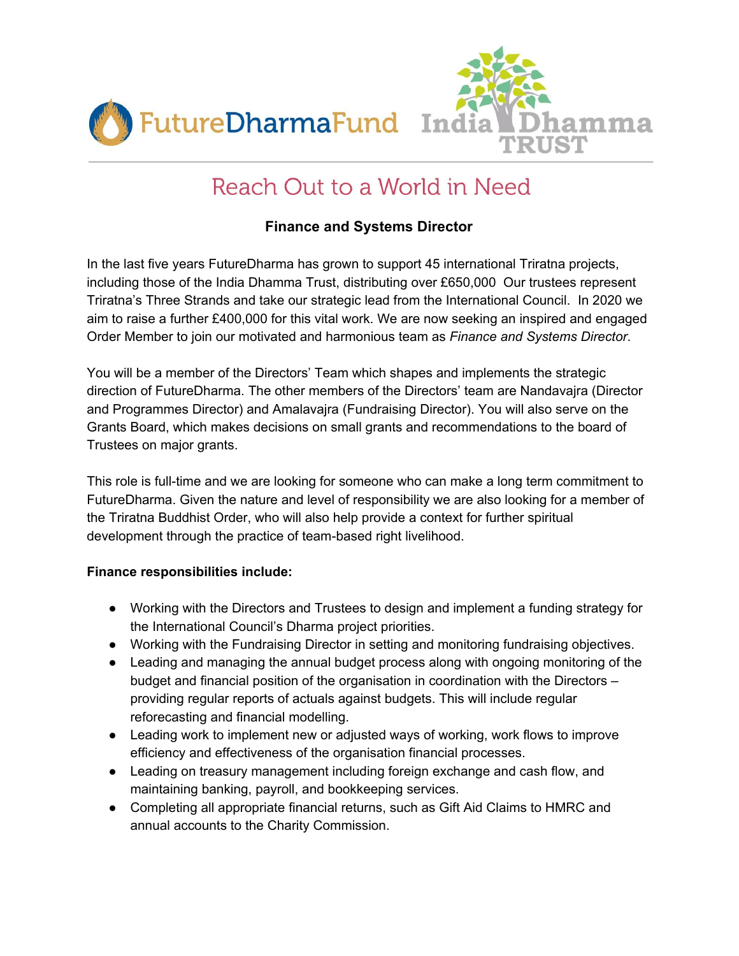



# Reach Out to a World in Need

# **Finance and Systems Director**

In the last five years FutureDharma has grown to support 45 international Triratna projects, including those of the India Dhamma Trust, distributing over £650,000 Our trustees represent Triratna's Three Strands and take our strategic lead from the International Council. In 2020 we aim to raise a further £400,000 for this vital work. We are now seeking an inspired and engaged Order Member to join our motivated and harmonious team as *Finance and Systems Director*.

You will be a member of the Directors' Team which shapes and implements the strategic direction of FutureDharma. The other members of the Directors' team are Nandavajra (Director and Programmes Director) and Amalavajra (Fundraising Director). You will also serve on the Grants Board, which makes decisions on small grants and recommendations to the board of Trustees on major grants.

This role is full-time and we are looking for someone who can make a long term commitment to FutureDharma. Given the nature and level of responsibility we are also looking for a member of the Triratna Buddhist Order, who will also help provide a context for further spiritual development through the practice of team-based right livelihood.

### **Finance responsibilities include:**

- Working with the Directors and Trustees to design and implement a funding strategy for the International Council's Dharma project priorities.
- Working with the Fundraising Director in setting and monitoring fundraising objectives.
- Leading and managing the annual budget process along with ongoing monitoring of the budget and financial position of the organisation in coordination with the Directors – providing regular reports of actuals against budgets. This will include regular reforecasting and financial modelling.
- Leading work to implement new or adjusted ways of working, work flows to improve efficiency and effectiveness of the organisation financial processes.
- Leading on treasury management including foreign exchange and cash flow, and maintaining banking, payroll, and bookkeeping services.
- Completing all appropriate financial returns, such as Gift Aid Claims to HMRC and annual accounts to the Charity Commission.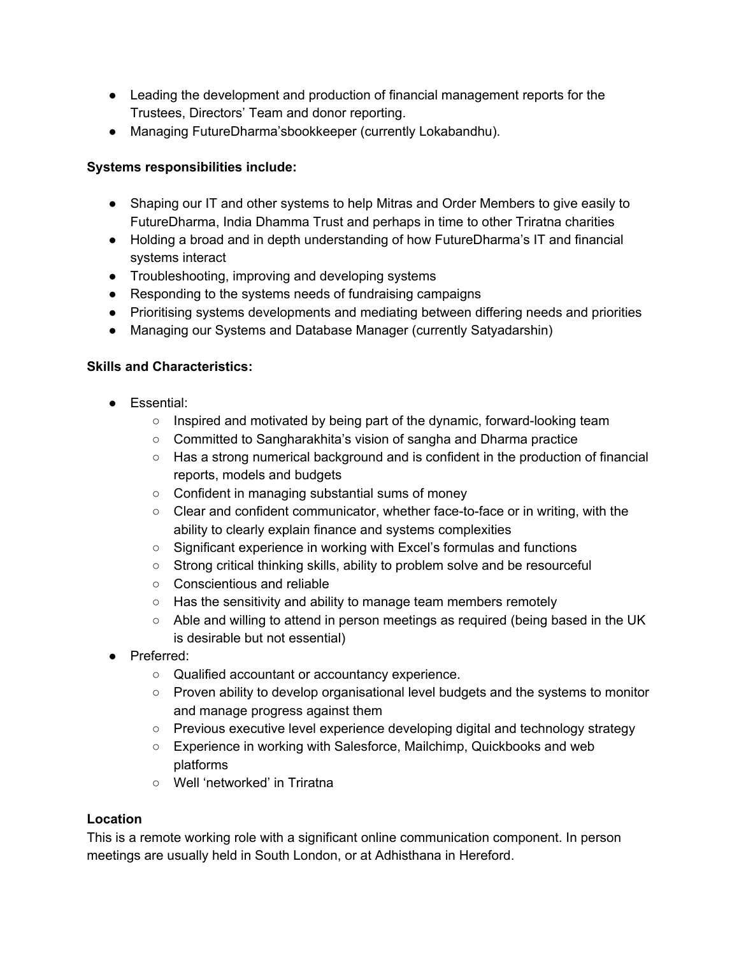- Leading the development and production of financial management reports for the Trustees, Directors' Team and donor reporting.
- Managing FutureDharma'sbookkeeper (currently Lokabandhu).

### **Systems responsibilities include:**

- Shaping our IT and other systems to help Mitras and Order Members to give easily to FutureDharma, India Dhamma Trust and perhaps in time to other Triratna charities
- Holding a broad and in depth understanding of how FutureDharma's IT and financial systems interact
- Troubleshooting, improving and developing systems
- Responding to the systems needs of fundraising campaigns
- Prioritising systems developments and mediating between differing needs and priorities
- Managing our Systems and Database Manager (currently Satyadarshin)

## **Skills and Characteristics:**

- Essential:
	- Inspired and motivated by being part of the dynamic, forward-looking team
	- Committed to Sangharakhita's vision of sangha and Dharma practice
	- Has a strong numerical background and is confident in the production of financial reports, models and budgets
	- Confident in managing substantial sums of money
	- Clear and confident communicator, whether face-to-face or in writing, with the ability to clearly explain finance and systems complexities
	- Significant experience in working with Excel's formulas and functions
	- Strong critical thinking skills, ability to problem solve and be resourceful
	- Conscientious and reliable
	- Has the sensitivity and ability to manage team members remotely
	- Able and willing to attend in person meetings as required (being based in the UK is desirable but not essential)
- Preferred:
	- Qualified accountant or accountancy experience.
	- Proven ability to develop organisational level budgets and the systems to monitor and manage progress against them
	- Previous executive level experience developing digital and technology strategy
	- Experience in working with Salesforce, Mailchimp, Quickbooks and web platforms
	- Well 'networked' in Triratna

### **Location**

This is a remote working role with a significant online communication component. In person meetings are usually held in South London, or at Adhisthana in Hereford.